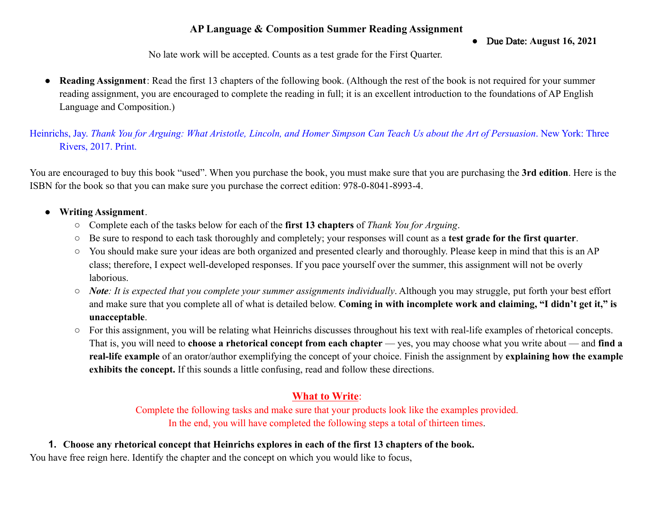## **AP Language & Composition Summer Reading Assignment**

● Due Date: **August 16, 2021**

No late work will be accepted. Counts as a test grade for the First Quarter.

● **Reading Assignment**: Read the first 13 chapters of the following book. (Although the rest of the book is not required for your summer reading assignment, you are encouraged to complete the reading in full; it is an excellent introduction to the foundations of AP English Language and Composition.)

Heinrichs, Jay. *Thank You for Arguing: What Aristotle, Lincoln, and Homer Simpson Can Teach Us about the Art of Persuasion*. New York: Three Rivers, 2017. Print.

You are encouraged to buy this book "used". When you purchase the book, you must make sure that you are purchasing the **3rd edition**. Here is the ISBN for the book so that you can make sure you purchase the correct edition: 978-0-8041-8993-4.

#### ● **Writing Assignment**.

- Complete each of the tasks below for each of the **first 13 chapters** of *Thank You for Arguing*.
- Be sure to respond to each task thoroughly and completely; your responses will count as a **test grade for the first quarter**.
- You should make sure your ideas are both organized and presented clearly and thoroughly. Please keep in mind that this is an AP class; therefore, I expect well-developed responses. If you pace yourself over the summer, this assignment will not be overly laborious.
- *Note: It is expected that you complete your summer assignments individually*. Although you may struggle, put forth your best effort and make sure that you complete all of what is detailed below. **Coming in with incomplete work and claiming, "I didn't get it," is unacceptable**.
- For this assignment, you will be relating what Heinrichs discusses throughout his text with real-life examples of rhetorical concepts. That is, you will need to **choose a rhetorical concept from each chapter** — yes, you may choose what you write about — and **find a real-life example** of an orator/author exemplifying the concept of your choice. Finish the assignment by **explaining how the example exhibits the concept.** If this sounds a little confusing, read and follow these directions.

# **What to Write**:

Complete the following tasks and make sure that your products look like the examples provided. In the end, you will have completed the following steps a total of thirteen times.

**1. Choose any rhetorical concept that Heinrichs explores in each of the first 13 chapters of the book.** You have free reign here. Identify the chapter and the concept on which you would like to focus,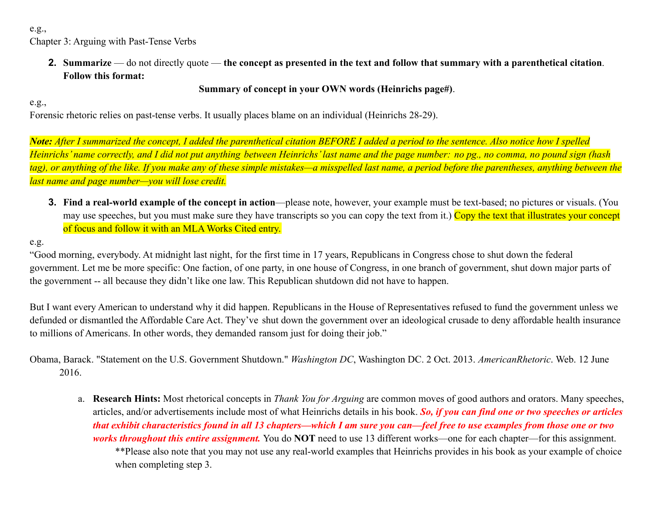e.g., Chapter 3: Arguing with Past-Tense Verbs

> **2. Summarize** — do not directly quote — **the concept as presented in the text and follow that summary with a parenthetical citation**. **Follow this format:**

## **Summary of concept in your OWN words (Heinrichs page#)**.

### e.g.,

Forensic rhetoric relies on past-tense verbs. It usually places blame on an individual (Heinrichs 28-29).

*Note: After I summarized the concept, I added the parenthetical citation BEFORE I added a period to the sentence. Also notice how I spelled Heinrichs' name correctly, and I did not put anything between Heinrichs' last name and the page number: no pg., no comma, no pound sign (hash tag), or anything of the like. If you make any of these simple mistakes—a misspelled last name, a period before the parentheses, anything between the last name and page number—you will lose credit.*

**3.** Find a real-world example of the concept in action—please note, however, your example must be text-based; no pictures or visuals. (You may use speeches, but you must make sure they have transcripts so you can copy the text from it.) Copy the text that illustrates your concept of focus and follow it with an MLA Works Cited entry.

## e.g.

"Good morning, everybody. At midnight last night, for the first time in 17 years, Republicans in Congress chose to shut down the federal government. Let me be more specific: One faction, of one party, in one house of Congress, in one branch of government, shut down major parts of the government -- all because they didn't like one law. This Republican shutdown did not have to happen.

But I want every American to understand why it did happen. Republicans in the House of Representatives refused to fund the government unless we defunded or dismantled the Affordable Care Act. They've shut down the government over an ideological crusade to deny affordable health insurance to millions of Americans. In other words, they demanded ransom just for doing their job."

Obama, Barack. "Statement on the U.S. Government Shutdown." *Washington DC*, Washington DC. 2 Oct. 2013. *AmericanRhetoric*. Web. 12 June 2016.

a. **Research Hints:** Most rhetorical concepts in *Thank You for Arguing* are common moves of good authors and orators. Many speeches, articles, and/or advertisements include most of what Heinrichs details in his book. *So, if you can find one or two speeches or articles that exhibit characteristics found in all 13 chapters—which I am sure you can—feel free to use examples from those one or two works throughout this entire assignment.* You do **NOT** need to use 13 different works—one for each chapter—for this assignment. \*\*Please also note that you may not use any real-world examples that Heinrichs provides in his book as your example of choice when completing step 3.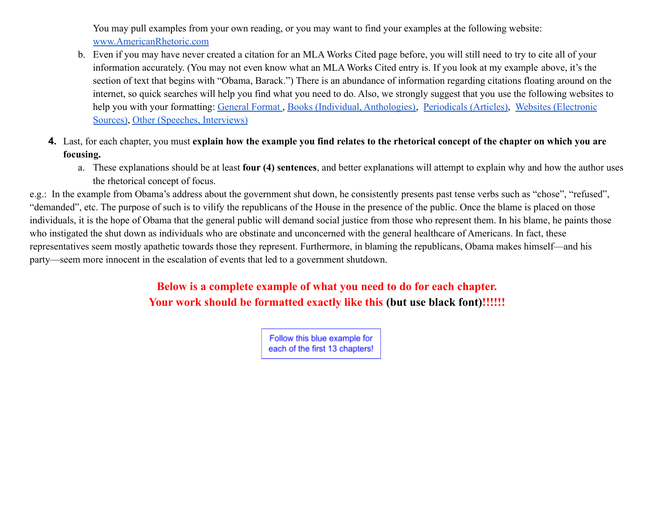You may pull examples from your own reading, or you may want to find your examples at the following website: [www.AmericanRhetoric.com](http://www.americanrhetoric.com)

- b. Even if you may have never created a citation for an MLA Works Cited page before, you will still need to try to cite all of your information accurately. (You may not even know what an MLA Works Cited entry is. If you look at my example above, it's the section of text that begins with "Obama, Barack.") There is an abundance of information regarding citations floating around on the internet, so quick searches will help you find what you need to do. Also, we strongly suggest that you use the following websites to help you with your formatting: [General Format](https://owl.purdue.edu/owl/research_and_citation/mla_style/mla_formatting_and_style_guide/mla_general_format.html), Books [\(Individual, Anthologies\),](https://owl.purdue.edu/owl/research_and_citation/mla_style/mla_formatting_and_style_guide/mla_works_cited_page_books.html) [Periodicals \(Articles\)](https://owl.purdue.edu/owl/research_and_citation/mla_style/mla_formatting_and_style_guide/mla_works_cited_periodicals.html), [Websites \(Electronic](https://owl.purdue.edu/owl/research_and_citation/mla_style/mla_formatting_and_style_guide/mla_works_cited_electronic_sources.html) [Sources\)](https://owl.purdue.edu/owl/research_and_citation/mla_style/mla_formatting_and_style_guide/mla_works_cited_electronic_sources.html), [Other \(Speeches, Interviews\)](https://owl.purdue.edu/owl/research_and_citation/mla_style/mla_formatting_and_style_guide/mla_works_cited_other_common_sources.html)
- **4.** Last, for each chapter, you must **explain how the example you find relates to the rhetorical concept of the chapter on which you are focusing.**
	- a. These explanations should be at least **four (4) sentences**, and better explanations will attempt to explain why and how the author uses the rhetorical concept of focus.

e.g.: In the example from Obama's address about the government shut down, he consistently presents past tense verbs such as "chose", "refused", "demanded", etc. The purpose of such is to vilify the republicans of the House in the presence of the public. Once the blame is placed on those individuals, it is the hope of Obama that the general public will demand social justice from those who represent them. In his blame, he paints those who instigated the shut down as individuals who are obstinate and unconcerned with the general healthcare of Americans. In fact, these representatives seem mostly apathetic towards those they represent. Furthermore, in blaming the republicans, Obama makes himself—and his party—seem more innocent in the escalation of events that led to a government shutdown.

> **Below is a complete example of what you need to do for each chapter. Your work should be formatted exactly like this (but use black font)!!!!!!**

> > Follow this blue example for each of the first 13 chapters!